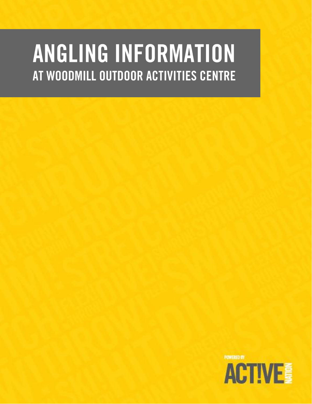# ANGLING INFORMATION AT WOODMILL OUTDOOR ACTIVITIES CENTRE

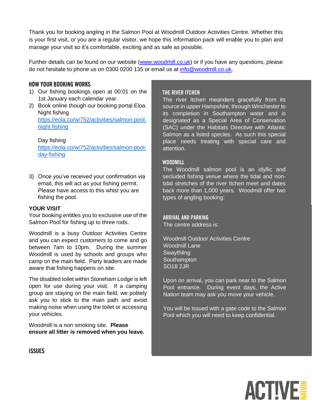Thank you for booking angling in the Salmon Pool at Woodmill Outdoor Activities Centre. Whether this is your first visit, or you are a regular visitor, we hope this information pack will enable you to plan and manage your visit so it's comfortable, exciting and as safe as possible.

Further details can be found on our website [\(www.woodmill.co.uk\)](http://www.woodmill.co.uk/) or if you have any questions, please do not hesitate to phone us on 0300 0200 135 or email us at [info@woodmill.co.uk.](mailto:info@woodmill.co.uk)

# **HOW YOUR BOOKING WORKS**

- 1) Our fishing bookings open at 00:01 on the 1st January each calendar year.
- 2) Book online though our booking portal Eloa. Night fishing [https://eola.co/w/752/activities/salmon-pool](https://eola.co/w/752/activities/salmon-pool-night-fishing)[night-fishing](https://eola.co/w/752/activities/salmon-pool-night-fishing)

Day fishing [https://eola.co/w/752/activities/salmon-pool](https://eola.co/w/752/activities/salmon-pool-day-fishing)[day-fishing](https://eola.co/w/752/activities/salmon-pool-day-fishing)

3) Once you've received your confirmation via email, this will act as your fishing permit. Please have access to this whist you are fishing the pool.

# **YOUR VISIT**

Your booking entitles you to exclusive use of the Salmon Pool for fishing up to three rods.

Woodmill is a busy Outdoor Activities Centre and you can expect customers to come and go between 7am to 10pm. During the summer Woodmill is used by schools and groups who camp on the main field. Party leaders are made aware that fishing happens on site.

The disabled toilet within Stoneham Lodge is left open for use during your visit. If a camping group are staying on the main field, we politely ask you to stick to the main path and avoid making noise when using the toilet or accessing your vehicles.

Woodmill is a non smoking site. **Please ensure all litter is removed when you leave.**

# THE RIVER ITCHEN

The river Itchen meanders gracefully from its source in upper Hampshire, through Winchester to its completion in Southampton water and is designated as a Special Area of Conservation (SAC) under the Habitats Directive with Atlantic Salmon as a listed species. As such this special place needs treating with special care and attention.

# **WOODMILL**

The Woodmill salmon pool is an idyllic and secluded fishing venue where the tidal and nontidal stretches of the river Itchen meet and dates back more than 1,000 years. Woodmill offer two types of angling booking:

# **ARRIVAL AND PARKING**

The centre address is: The centre address is:

Woodmill Outdoor Activities Centre 2 or more dates and the cost is just £100 per dates and the cost is just £100 per day. The cost is just £100 per Swaythling is 08.30 -18.30. The salmon fishing is 08.30 -18.30. SO18 2JR **Southampton** 

Upon on arrival, you can park near to the Salmon Pool entrance. During event days, the Active Nation team may ask you move your vehicle.

You will be issued with a gate code to the Salmon Pool which you will need to keep confidential.



**ISSUES**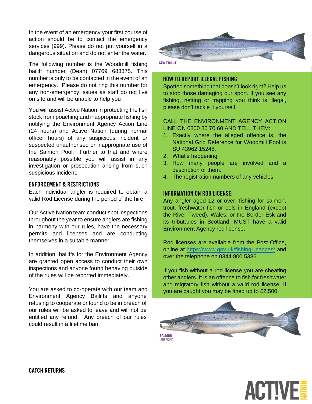In the event of an emergency your first course of action should be to contact the emergency services (999). Please do not put yourself in a dangerous situation and do not enter the water.

The following number is the Woodmill fishing bailiff number (Dean) 07769 683375. This number is only to be contacted in the event of an emergency. Please do not ring this number for any non-emergency issues as staff do not live on site and will be unable to help you

You will assist Active Nation in protecting the fish stock from poaching and inappropriate fishing by notifying the Environment Agency Action Line (24 hours) and Active Nation (during normal officer hours) of any suspicious incident or suspected unauthorised or inappropriate use of the Salmon Pool. Further to that and where reasonably possible you will assist in any investigation or prosecution arising from such suspicious incident.

# **ENFORCEMENT & RESTRICTIONS**

Each individual angler is required to obtain a valid Rod License during the period of the hire.

Our Active Nation team conduct spot inspections throughout the year to ensure anglers are fishing in harmony with our rules, have the necessary permits and licenses and are conducting themselves in a suitable manner.

In addition, bailiffs for the Environment Agency are granted open access to conduct their own inspections and anyone found behaving outside of the rules will be reported immediately.

You are asked to co-operate with our team and Environment Agency Bailiffs and anyone refusing to cooperate or found to be in breach of our rules will be asked to leave and will not be entitled any refund. Any breach of our rules could result in a lifetime ban.



**SEA TROUT** 

# **HOW TO REPORT ILLEGAL FISHING**

Spotted something that doesn't look right? Help us to stop those damaging our sport. If you see any fishing, netting or trapping you think is illegal, please don't tackle it yourself.

# CALL THE ENVIRONMENT AGENCY ACTION LINE ON 0800 80 70 60 AND TELL THEM:

- 1. Exactly where the alleged offence is, the National Grid Reference for Woodmill Pool is SU 43962 15248.
- 2. What's happening.
- 3. How many people are involved and a description of them.
- 4. The registration numbers of any vehicles.

# **INFORMATION ON ROD LICENSE:**

Any angler aged 12 or over, fishing for salmon, trout, freshwater fish or eels in England (except the River Tweed), Wales, or the Border Esk and its tributaries in Scotland, MUST have a valid Environment Agency rod license.

Rod licenses are available from the Post Office, online at<https://www.gov.uk/fishing-licences/> and over the telephone on 0344 800 5386.

If you fish without a rod license you are cheating other anglers. It is an offence to fish for freshwater and migratory fish without a valid rod license. If you are caught you may be fined up to £2,500.



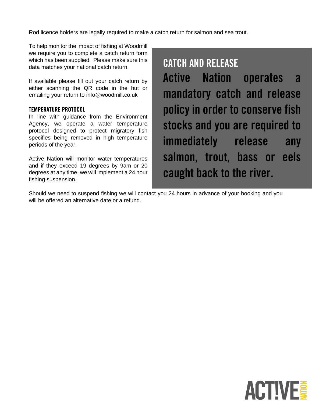Rod licence holders are legally required to make a catch return for salmon and sea trout.

To help monitor the impact of fishing at Woodmill we require you to complete a catch return form which has been supplied. Please make sure this data matches your national catch return.

If available please fill out your catch return by either scanning the QR code in the hut or emailing your return to info@woodmill.co.uk

# **TEMPERATURE PROTOCOL**

In line with guidance from the Environment Agency, we operate a water temperature protocol designed to protect migratory fish specifies being removed in high temperature periods of the year.

Active Nation will monitor water temperatures and if they exceed 19 degrees by 9am or 20 degrees at any time, we will implement a 24 hour fishing suspension.

# **CATCH AND RELEASE**

**Active Nation** operates  $\mathbf{a}$ mandatory catch and release policy in order to conserve fish stocks and you are required to immediately release any salmon, trout, bass or eels caught back to the river.

Should we need to suspend fishing we will contact you 24 hours in advance of your booking and you will be offered an alternative date or a refund.

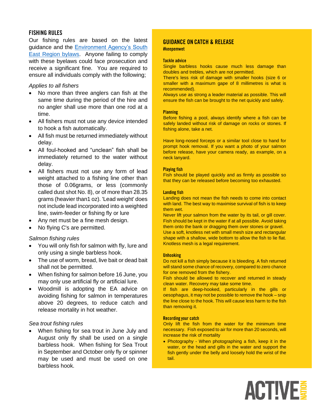# **FISHING RULES**

Our fishing rules are based on the latest guidance and the **Environment Agency's South** [East Region bylaws.](https://www.gov.uk/government/publications/environment-agency-rod-fishing-byelaws-south-east-region) Anyone failing to comply with these byelaws could face prosecution and receive a significant fine. You are required to ensure all individuals comply with the following;

# *Applies to all fishers*

- No more than three anglers can fish at the same time during the period of the hire and no angler shall use more than one rod at a time.
- All fishers must not use any device intended to hook a fish automatically.
- All fish must be returned immediately without delay.
- All foul-hooked and "unclean" fish shall be immediately returned to the water without delay.
- All fishers must not use any form of lead weight attached to a fishing line other than those of 0.06grams, or less (commonly called dust shot No. 8), or of more than 28.35 grams (heavier than1 oz). 'Lead weight' does not include lead incorporated into a weighted line, swim-feeder or fishing fly or lure
- Any net must be a fine mesh design.
- No flying C's are permitted.

# *Salmon fishing rules*

- You will only fish for salmon with fly, lure and only using a single barbless hook.
- The use of worm, bread, live bait or dead bait shall not be permitted.
- When fishing for salmon before 16 June, you may only use artificial fly or artificial lure.
- Woodmill is adopting the EA advice on avoiding fishing for salmon in temperatures above 20 degrees, to reduce catch and release mortality in hot weather.

## *Sea trout fishing rules*

• When fishing for sea trout in June July and August only fly shall be used on a single barbless hook. When fishing for Sea Trout in September and October only fly or spinner may be used and must be used on one barbless hook.

# **GUIDANCE ON CATCH & RELEASE**

#keepemwet

#### **Tackle advice**

Single barbless hooks cause much less damage than doubles and trebles, which are not permitted.

There's less risk of damage with smaller hooks (size 6 or smaller with a maximum gape of 8 millimetres is what is recommended).

Always use as strong a leader material as possible. This will ensure the fish can be brought to the net quickly and safely.

#### **Planning**

Before fishing a pool, always identify where a fish can be safely landed without risk of damage on rocks or stones. If fishing alone, take a net.

Have long-nosed forceps or a similar tool close to hand for prompt hook removal. If you want a photo of your salmon before release, have your camera ready, as example, on a neck lanyard.

#### **Playing fish**

Fish should be played quickly and as firmly as possible so that they can be released before becoming too exhausted.

#### Landing fish

Landing does not mean the fish needs to come into contact with land. The best way to maximise survival of fish is to keep them wet.

Never lift your salmon from the water by its tail, or gill cover. Fish should be kept in the water if at all possible. Avoid taking them onto the bank or dragging them over stones or gravel. Use a soft, knotless net with small mesh size and rectangular shape with a shallow, wide bottom to allow the fish to lie flat. Knotless mesh is a legal requirement.

#### **Unhooking**

Do not kill a fish simply because it is bleeding. A fish returned will stand some chance of recovery, compared to zero chance for one removed from the fishery.

Fish should be allowed to recover and returned in steady clean water. Recovery may take some time.

If fish are deep-hooked, particularly in the gills or oesophagus, it may not be possible to remove the hook – snip the line close to the hook. This will cause less harm to the fish than removing it.

#### **Recording your catch**

Only lift the fish from the water for the minimum time necessary. Fish exposed to air for more than 20 seconds, will increase the risk of mortality

• Photography - When photographing a fish, keep it in the water, or the head and gills in the water and support the fish gently under the belly and loosely hold the wrist of the tail.

**ACTIVE**